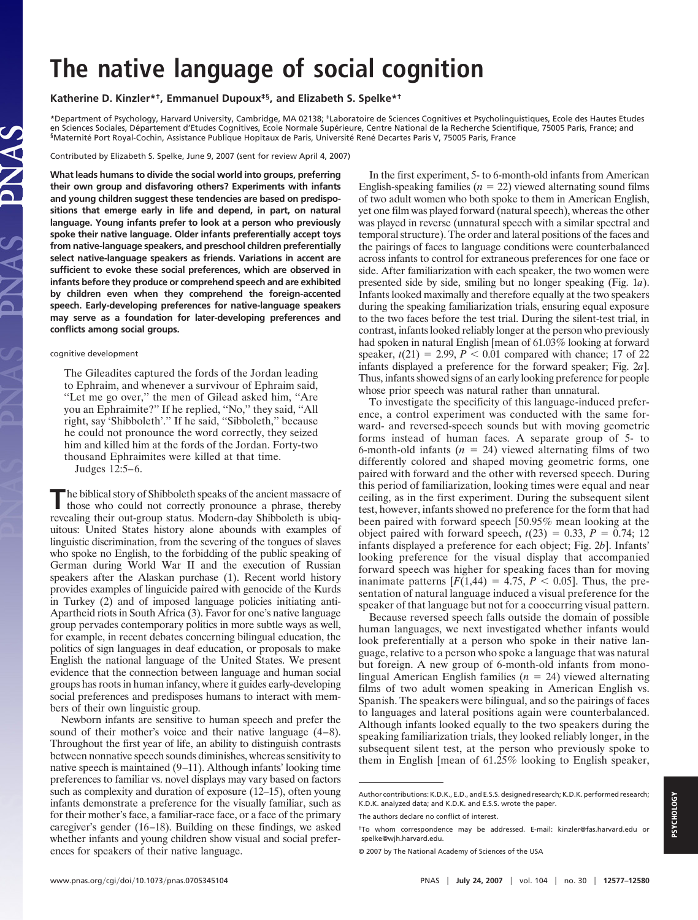## **The native language of social cognition**

## **Katherine D. Kinzler\*†, Emmanuel Dupoux‡§, and Elizabeth S. Spelke\*†**

\*Department of Psychology, Harvard University, Cambridge, MA 02138; ‡Laboratoire de Sciences Cognitives et Psycholinguistiques, Ecole des Hautes Etudes en Sciences Sociales, Département d'Etudes Cognitives, Ecole Normale Supérieure, Centre National de la Recherche Scientifique, 75005 Paris, France; and §Maternité Port Royal-Cochin, Assistance Publique Hopitaux de Paris, Université René Decartes Paris V, 75005 Paris, France

Contributed by Elizabeth S. Spelke, June 9, 2007 (sent for review April 4, 2007)

**What leads humans to divide the social world into groups, preferring their own group and disfavoring others? Experiments with infants and young children suggest these tendencies are based on predispositions that emerge early in life and depend, in part, on natural language. Young infants prefer to look at a person who previously spoke their native language. Older infants preferentially accept toys from native-language speakers, and preschool children preferentially select native-language speakers as friends. Variations in accent are sufficient to evoke these social preferences, which are observed in infants before they produce or comprehend speech and are exhibited by children even when they comprehend the foreign-accented speech. Early-developing preferences for native-language speakers may serve as a foundation for later-developing preferences and conflicts among social groups.**

## cognitive development

The Gileadites captured the fords of the Jordan leading to Ephraim, and whenever a survivour of Ephraim said, "Let me go over," the men of Gilead asked him, "Are you an Ephraimite?'' If he replied, ''No,'' they said, ''All right, say 'Shibboleth'.'' If he said, ''Sibboleth,'' because he could not pronounce the word correctly, they seized him and killed him at the fords of the Jordan. Forty-two thousand Ephraimites were killed at that time. Judges 12:5–6.

The biblical story of Shibboleth speaks of the ancient massacre of those who could not correctly pronounce a phrase, thereby revealing their out-group status. Modern-day Shibboleth is ubiquitous: United States history alone abounds with examples of linguistic discrimination, from the severing of the tongues of slaves who spoke no English, to the forbidding of the public speaking of German during World War II and the execution of Russian speakers after the Alaskan purchase (1). Recent world history provides examples of linguicide paired with genocide of the Kurds in Turkey (2) and of imposed language policies initiating anti-Apartheid riots in South Africa (3). Favor for one's native language group pervades contemporary politics in more subtle ways as well, for example, in recent debates concerning bilingual education, the politics of sign languages in deaf education, or proposals to make English the national language of the United States. We present evidence that the connection between language and human social groups has roots in human infancy, where it guides early-developing social preferences and predisposes humans to interact with members of their own linguistic group.

Newborn infants are sensitive to human speech and prefer the sound of their mother's voice and their native language (4–8). Throughout the first year of life, an ability to distinguish contrasts between nonnative speech sounds diminishes, whereas sensitivity to native speech is maintained (9–11). Although infants' looking time preferences to familiar vs. novel displays may vary based on factors such as complexity and duration of exposure (12–15), often young infants demonstrate a preference for the visually familiar, such as for their mother's face, a familiar-race face, or a face of the primary caregiver's gender (16–18). Building on these findings, we asked whether infants and young children show visual and social preferences for speakers of their native language.

In the first experiment, 5- to 6-month-old infants from American English-speaking families ( $n = 22$ ) viewed alternating sound films of two adult women who both spoke to them in American English, yet one film was played forward (natural speech), whereas the other was played in reverse (unnatural speech with a similar spectral and temporal structure). The order and lateral positions of the faces and the pairings of faces to language conditions were counterbalanced across infants to control for extraneous preferences for one face or side. After familiarization with each speaker, the two women were presented side by side, smiling but no longer speaking (Fig. 1*a*). Infants looked maximally and therefore equally at the two speakers during the speaking familiarization trials, ensuring equal exposure to the two faces before the test trial. During the silent-test trial, in contrast, infants looked reliably longer at the person who previously had spoken in natural English [mean of 61.03% looking at forward speaker,  $t(21) = 2.99$ ,  $P < 0.01$  compared with chance; 17 of 22 infants displayed a preference for the forward speaker; Fig. 2*a*]. Thus, infants showed signs of an early looking preference for people whose prior speech was natural rather than unnatural.

To investigate the specificity of this language-induced preference, a control experiment was conducted with the same forward- and reversed-speech sounds but with moving geometric forms instead of human faces. A separate group of 5- to 6-month-old infants  $(n = 24)$  viewed alternating films of two differently colored and shaped moving geometric forms, one paired with forward and the other with reversed speech. During this period of familiarization, looking times were equal and near ceiling, as in the first experiment. During the subsequent silent test, however, infants showed no preference for the form that had been paired with forward speech [50.95% mean looking at the object paired with forward speech,  $t(23) = 0.33$ ,  $P = 0.74$ ; 12 infants displayed a preference for each object; Fig. 2*b*]. Infants' looking preference for the visual display that accompanied forward speech was higher for speaking faces than for moving inanimate patterns  $[F(1,44) = 4.75, P < 0.05]$ . Thus, the presentation of natural language induced a visual preference for the speaker of that language but not for a cooccurring visual pattern.

Because reversed speech falls outside the domain of possible human languages, we next investigated whether infants would look preferentially at a person who spoke in their native language, relative to a person who spoke a language that was natural but foreign. A new group of 6-month-old infants from monolingual American English families ( $n = 24$ ) viewed alternating films of two adult women speaking in American English vs. Spanish. The speakers were bilingual, and so the pairings of faces to languages and lateral positions again were counterbalanced. Although infants looked equally to the two speakers during the speaking familiarization trials, they looked reliably longer, in the subsequent silent test, at the person who previously spoke to them in English [mean of 61.25% looking to English speaker,

Author contributions: K.D.K., E.D., and E.S.S. designed research; K.D.K. performed research; K.D.K. analyzed data; and K.D.K. and E.S.S. wrote the paper.

The authors declare no conflict of interest.

<sup>†</sup>To whom correspondence may be addressed. E-mail: kinzler@fas.harvard.edu or spelke@wjh.harvard.edu.

<sup>© 2007</sup> by The National Academy of Sciences of the USA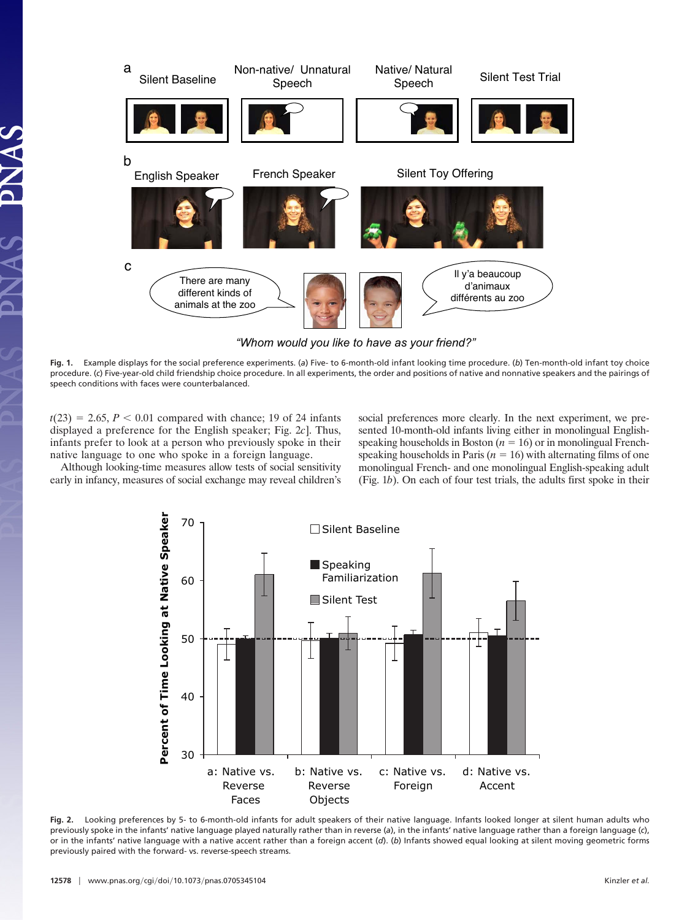

*"Whom would you like to have as your friend?"*

**Fig. 1.** Example displays for the social preference experiments. (*a*) Five- to 6-month-old infant looking time procedure. (*b*) Ten-month-old infant toy choice procedure. (*c*) Five-year-old child friendship choice procedure. In all experiments, the order and positions of native and nonnative speakers and the pairings of speech conditions with faces were counterbalanced.

 $t(23) = 2.65$ ,  $P < 0.01$  compared with chance; 19 of 24 infants displayed a preference for the English speaker; Fig. 2*c*]. Thus, infants prefer to look at a person who previously spoke in their native language to one who spoke in a foreign language.

**AS** 

Although looking-time measures allow tests of social sensitivity early in infancy, measures of social exchange may reveal children's social preferences more clearly. In the next experiment, we presented 10-month-old infants living either in monolingual Englishspeaking households in Boston ( $n = 16$ ) or in monolingual Frenchspeaking households in Paris ( $n = 16$ ) with alternating films of one monolingual French- and one monolingual English-speaking adult (Fig. 1*b*). On each of four test trials, the adults first spoke in their



**Fig. 2.** Looking preferences by 5- to 6-month-old infants for adult speakers of their native language. Infants looked longer at silent human adults who previously spoke in the infants' native language played naturally rather than in reverse (*a*), in the infants' native language rather than a foreign language (*c*), or in the infants' native language with a native accent rather than a foreign accent (*d*). (*b*) Infants showed equal looking at silent moving geometric forms previously paired with the forward- vs. reverse-speech streams.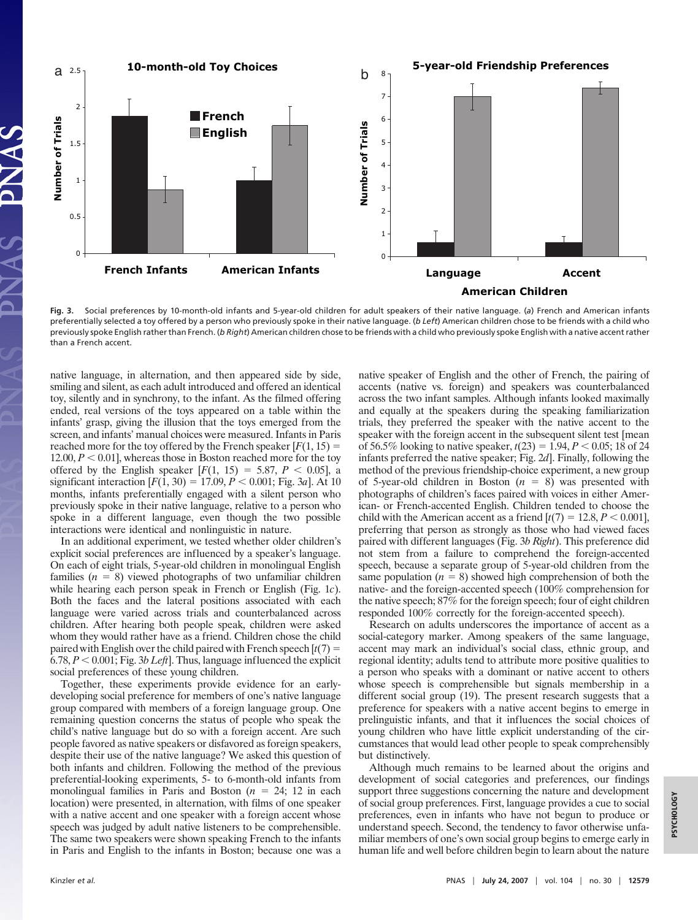

**Fig. 3.** Social preferences by 10-month-old infants and 5-year-old children for adult speakers of their native language. (*a*) French and American infants preferentially selected a toy offered by a person who previously spoke in their native language. (*b Left*) American children chose to be friends with a child who previously spoke English rather than French. (*b Right*) American children chose to be friends with a child who previously spoke English with a native accent rather than a French accent.

native language, in alternation, and then appeared side by side, smiling and silent, as each adult introduced and offered an identical toy, silently and in synchrony, to the infant. As the filmed offering ended, real versions of the toys appeared on a table within the infants' grasp, giving the illusion that the toys emerged from the screen, and infants' manual choices were measured. Infants in Paris reached more for the toy offered by the French speaker  $[F(1, 15) =$  $12.00, P < 0.01$ , whereas those in Boston reached more for the toy offered by the English speaker  $[F(1, 15) = 5.87, P < 0.05]$ , a significant interaction  $[F(1, 30) = 17.09, P < 0.001; \text{Fig. 3a}].$  At 10 months, infants preferentially engaged with a silent person who previously spoke in their native language, relative to a person who spoke in a different language, even though the two possible interactions were identical and nonlinguistic in nature.

In an additional experiment, we tested whether older children's explicit social preferences are influenced by a speaker's language. On each of eight trials, 5-year-old children in monolingual English families  $(n = 8)$  viewed photographs of two unfamiliar children while hearing each person speak in French or English (Fig. 1*c*). Both the faces and the lateral positions associated with each language were varied across trials and counterbalanced across children. After hearing both people speak, children were asked whom they would rather have as a friend. Children chose the child paired with English over the child paired with French speech  $[t(7) =$  $6.78, P < 0.001$ ; Fig. 3*b Left*]. Thus, language influenced the explicit social preferences of these young children.

Together, these experiments provide evidence for an earlydeveloping social preference for members of one's native language group compared with members of a foreign language group. One remaining question concerns the status of people who speak the child's native language but do so with a foreign accent. Are such people favored as native speakers or disfavored as foreign speakers, despite their use of the native language? We asked this question of both infants and children. Following the method of the previous preferential-looking experiments, 5- to 6-month-old infants from monolingual families in Paris and Boston  $(n = 24; 12$  in each location) were presented, in alternation, with films of one speaker with a native accent and one speaker with a foreign accent whose speech was judged by adult native listeners to be comprehensible. The same two speakers were shown speaking French to the infants in Paris and English to the infants in Boston; because one was a

native speaker of English and the other of French, the pairing of accents (native vs. foreign) and speakers was counterbalanced across the two infant samples. Although infants looked maximally and equally at the speakers during the speaking familiarization trials, they preferred the speaker with the native accent to the speaker with the foreign accent in the subsequent silent test [mean of 56.5% looking to native speaker,  $t(23) = 1.94, P < 0.05$ ; 18 of 24 infants preferred the native speaker; Fig. 2*d*]. Finally, following the method of the previous friendship-choice experiment, a new group of 5-year-old children in Boston  $(n = 8)$  was presented with photographs of children's faces paired with voices in either American- or French-accented English. Children tended to choose the child with the American accent as a friend  $[t(7) = 12.8, P \le 0.001]$ , preferring that person as strongly as those who had viewed faces paired with different languages (Fig. 3*b Right*). This preference did not stem from a failure to comprehend the foreign-accented speech, because a separate group of 5-year-old children from the same population  $(n = 8)$  showed high comprehension of both the native- and the foreign-accented speech (100% comprehension for the native speech; 87% for the foreign speech; four of eight children responded 100% correctly for the foreign-accented speech).

Research on adults underscores the importance of accent as a social-category marker. Among speakers of the same language, accent may mark an individual's social class, ethnic group, and regional identity; adults tend to attribute more positive qualities to a person who speaks with a dominant or native accent to others whose speech is comprehensible but signals membership in a different social group (19). The present research suggests that a preference for speakers with a native accent begins to emerge in prelinguistic infants, and that it influences the social choices of young children who have little explicit understanding of the circumstances that would lead other people to speak comprehensibly but distinctively.

Although much remains to be learned about the origins and development of social categories and preferences, our findings support three suggestions concerning the nature and development of social group preferences. First, language provides a cue to social preferences, even in infants who have not begun to produce or understand speech. Second, the tendency to favor otherwise unfamiliar members of one's own social group begins to emerge early in human life and well before children begin to learn about the nature